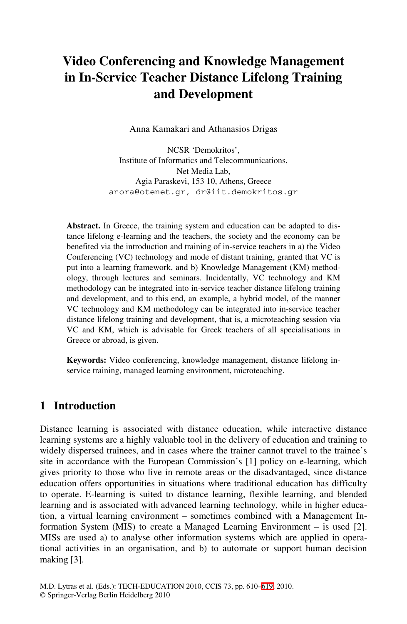# **Video Conferencing and Knowledge Management in In-Service Teacher Distance Lifelong Training and Development**

Anna Kamakari and Athanasios Drigas

NCSR 'Demokritos', Institute of Informatics and Telecommunications, Net Media Lab, Agia Paraskevi, 153 10, Athens, Greece anora@otenet.gr, dr@iit.demokritos.gr

Abstract. In Greece, the training system and education can be adapted to distance lifelong e-learning and the teachers, the society and the economy can be benefited via the introduction and training of in-service teachers in a) the Video Conferencing (VC) technology and mode of distant training, granted that VC is put into a learning framework, and b) Knowledge Management (KM) methodology, through lectures and seminars. Incidentally, VC technology and KM methodology can be integrated into in-service teacher distance lifelong training and development, and to this end, an example, a hybrid model, of the manner VC technology and KM methodology can be integrated into in-service teacher distance lifelong training and development, that is, a microteaching session via VC and KM, which is advisable for Greek teachers of all specialisations in Greece or abroad, is given.

**Keywords:** Video conferencing, knowledge management, distance lifelong inservice training, managed learning environment, microteaching.

# **1 Introduction**

Distance learning is associated with distance education, while interactive distance learning systems are a highly valuable tool in the delivery of education and training to widely dispersed trainees, and in cases where the trainer cannot travel to the trainee's site in accordance with the European Commission's [1] policy on e-learning, which gives priority to those who live in remote areas or the disadvantaged, since distance education offers opportunities in situations where traditional education has difficulty to operate. E-learning is suited to d[istan](#page-9-0)ce learning, flexible learning, and blended learning and is associated with advanced learning technology, while in higher education, a virtual learning environment – sometimes combined with a Management Information System (MIS) to create a Managed Learning Environment – is used [2]. MISs are used a) to analyse other information systems which are applied in operational activities in an organisation, and b) to automate or support human decision making [3].

M.D. Lytras et al. (Eds.): TECH-EDUCATION 2010, CCIS 73, pp. 610–619, 2010. © Springer-Verlag Berlin Heidelberg 2010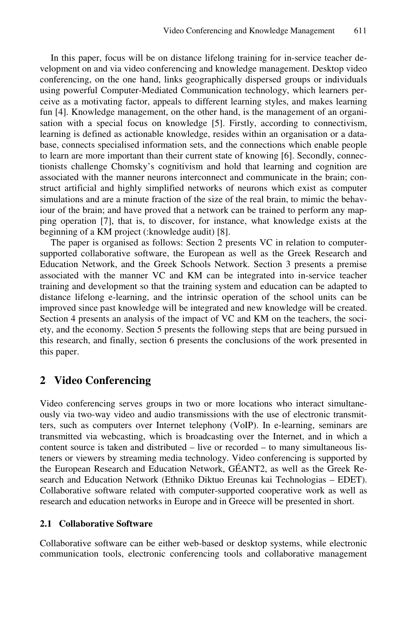In this paper, focus will be on distance lifelong training for in-service teacher development on and via video conferencing and knowledge management. Desktop video conferencing, on the one hand, links geographically dispersed groups or individuals using powerful Computer-Mediated Communication technology, which learners perceive as a motivating factor, appeals to different learning styles, and makes learning fun [4]. Knowledge management, on the other hand, is the management of an organisation with a special focus on knowledge [5]. Firstly, according to connectivism, learning is defined as actionable knowledge, resides within an organisation or a database, connects specialised information sets, and the connections which enable people to learn are more important than their current state of knowing [6]. Secondly, connectionists challenge Chomsky's cognitivism and hold that learning and cognition are associated with the manner neurons interconnect and communicate in the brain; construct artificial and highly simplified networks of neurons which exist as computer simulations and are a minute fraction of the size of the real brain, to mimic the behaviour of the brain; and have proved that a network can be trained to perform any mapping operation [7], that is, to discover, for instance, what knowledge exists at the beginning of a KM project (:knowledge audit) [8].

The paper is organised as follows: Section 2 presents VC in relation to computersupported collaborative software, the European as well as the Greek Research and Education Network, and the Greek Schools Network. Section 3 presents a premise associated with the manner VC and KM can be integrated into in-service teacher training and development so that the training system and education can be adapted to distance lifelong e-learning, and the intrinsic operation of the school units can be improved since past knowledge will be integrated and new knowledge will be created. Section 4 presents an analysis of the impact of VC and KM on the teachers, the society, and the economy. Section 5 presents the following steps that are being pursued in this research, and finally, section 6 presents the conclusions of the work presented in this paper.

### **2 Video Conferencing**

Video conferencing serves groups in two or more locations who interact simultaneously via two-way video and audio transmissions with the use of electronic transmitters, such as computers over Internet telephony (VoIP). In e-learning, seminars are transmitted via webcasting, which is broadcasting over the Internet, and in which a content source is taken and distributed – live or recorded – to many simultaneous listeners or viewers by streaming media technology. Video conferencing is supported by the European Research and Education Network, GÉANT2, as well as the Greek Research and Education Network (Ethniko Diktuo Ereunas kai Technologias – EDET). Collaborative software related with computer-supported cooperative work as well as research and education networks in Europe and in Greece will be presented in short.

#### **2.1 Collaborative Software**

Collaborative software can be either web-based or desktop systems, while electronic communication tools, electronic conferencing tools and collaborative management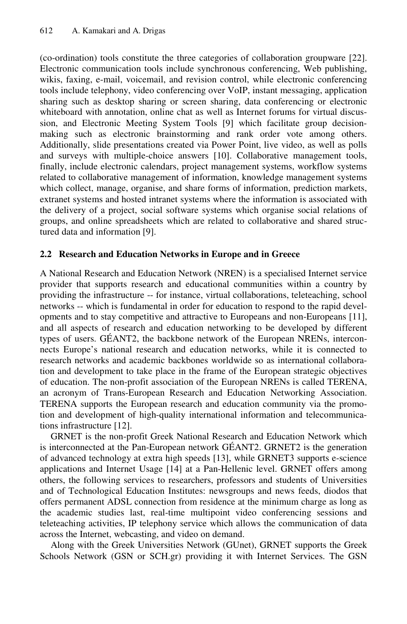(co-ordination) tools constitute the three categories of collaboration groupware [22]. Electronic communication tools include synchronous conferencing, Web publishing, wikis, faxing, e-mail, voicemail, and revision control, while electronic conferencing tools include telephony, video conferencing over VoIP, instant messaging, application sharing such as desktop sharing or screen sharing, data conferencing or electronic whiteboard with annotation, online chat as well as Internet forums for virtual discussion, and Electronic Meeting System Tools [9] which facilitate group decisionmaking such as electronic brainstorming and rank order vote among others. Additionally, slide presentations created via Power Point, live video, as well as polls and surveys with multiple-choice answers [10]. Collaborative management tools, finally, include electronic calendars, project management systems, workflow systems related to collaborative management of information, knowledge management systems which collect, manage, organise, and share forms of information, prediction markets, extranet systems and hosted intranet systems where the information is associated with the delivery of a project, social software systems which organise social relations of groups, and online spreadsheets which are related to collaborative and shared structured data and information [9].

#### **2.2 Research and Education Networks in Europe and in Greece**

A National Research and Education Network (NREN) is a specialised Internet service provider that supports research and educational communities within a country by providing the infrastructure -- for instance, virtual collaborations, teleteaching, school networks -- which is fundamental in order for education to respond to the rapid developments and to stay competitive and attractive to Europeans and non-Europeans [11], and all aspects of research and education networking to be developed by different types of users. GÉANT2, the backbone network of the European NRENs, interconnects Europe's national research and education networks, while it is connected to research networks and academic backbones worldwide so as international collaboration and development to take place in the frame of the European strategic objectives of education. The non-profit association of the European NRENs is called TERENA, an acronym of Trans-European Research and Education Networking Association. TERENA supports the European research and education community via the promotion and development of high-quality international information and telecommunications infrastructure [12].

GRNET is the non-profit Greek National Research and Education Network which is interconnected at the Pan-European network GÉANT2. GRNET2 is the generation of advanced technology at extra high speeds [13], while GRNET3 supports e-science applications and Internet Usage [14] at a Pan-Hellenic level. GRNET offers among others, the following services to researchers, professors and students of Universities and of Technological Education Institutes: newsgroups and news feeds, diodos that offers permanent ADSL connection from residence at the minimum charge as long as the academic studies last, real-time multipoint video conferencing sessions and teleteaching activities, IP telephony service which allows the communication of data across the Internet, webcasting, and video on demand.

Along with the Greek Universities Network (GUnet), GRNET supports the Greek Schools Network (GSN or SCH.gr) providing it with Internet Services. The GSN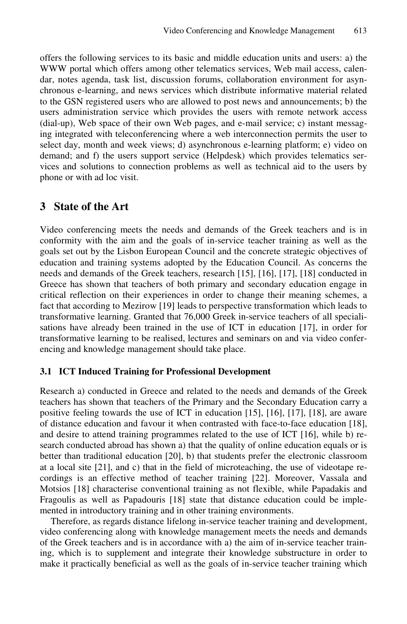offers the following services to its basic and middle education units and users: a) the WWW portal which offers among other telematics services, Web mail access, calendar, notes agenda, task list, discussion forums, collaboration environment for asynchronous e-learning, and news services which distribute informative material related to the GSN registered users who are allowed to post news and announcements; b) the users administration service which provides the users with remote network access (dial-up), Web space of their own Web pages, and e-mail service; c) instant messaging integrated with teleconferencing where a web interconnection permits the user to select day, month and week views; d) asynchronous e-learning platform; e) video on demand; and f) the users support service (Helpdesk) which provides telematics services and solutions to connection problems as well as technical aid to the users by phone or with ad loc visit.

### **3 State of the Art**

Video conferencing meets the needs and demands of the Greek teachers and is in conformity with the aim and the goals of in-service teacher training as well as the goals set out by the Lisbon European Council and the concrete strategic objectives of education and training systems adopted by the Education Council. As concerns the needs and demands of the Greek teachers, research [15], [16], [17], [18] conducted in Greece has shown that teachers of both primary and secondary education engage in critical reflection on their experiences in order to change their meaning schemes, a fact that according to Mezirow [19] leads to perspective transformation which leads to transformative learning. Granted that 76,000 Greek in-service teachers of all specialisations have already been trained in the use of ICT in education [17], in order for transformative learning to be realised, lectures and seminars on and via video conferencing and knowledge management should take place.

#### **3.1 ICT Induced Training for Professional Development**

Research a) conducted in Greece and related to the needs and demands of the Greek teachers has shown that teachers of the Primary and the Secondary Education carry a positive feeling towards the use of ICT in education [15], [16], [17], [18], are aware of distance education and favour it when contrasted with face-to-face education [18], and desire to attend training programmes related to the use of ICT [16], while b) research conducted abroad has shown a) that the quality of online education equals or is better than traditional education [20], b) that students prefer the electronic classroom at a local site [21], and c) that in the field of microteaching, the use of videotape recordings is an effective method of teacher training [22]. Moreover, Vassala and Motsios [18] characterise conventional training as not flexible, while Papadakis and Fragoulis as well as Papadouris [18] state that distance education could be implemented in introductory training and in other training environments.

Therefore, as regards distance lifelong in-service teacher training and development, video conferencing along with knowledge management meets the needs and demands of the Greek teachers and is in accordance with a) the aim of in-service teacher training, which is to supplement and integrate their knowledge substructure in order to make it practically beneficial as well as the goals of in-service teacher training which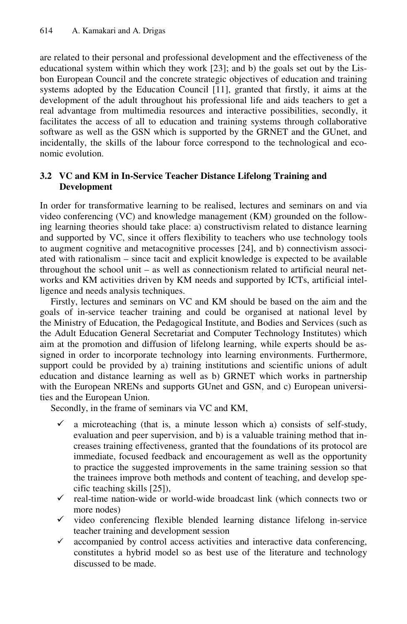are related to their personal and professional development and the effectiveness of the educational system within which they work [23]; and b) the goals set out by the Lisbon European Council and the concrete strategic objectives of education and training systems adopted by the Education Council [11], granted that firstly, it aims at the development of the adult throughout his professional life and aids teachers to get a real advantage from multimedia resources and interactive possibilities, secondly, it facilitates the access of all to education and training systems through collaborative software as well as the GSN which is supported by the GRNET and the GUnet, and incidentally, the skills of the labour force correspond to the technological and economic evolution.

#### **3.2 VC and KM in In-Service Teacher Distance Lifelong Training and Development**

In order for transformative learning to be realised, lectures and seminars on and via video conferencing (VC) and knowledge management (KM) grounded on the following learning theories should take place: a) constructivism related to distance learning and supported by VC, since it offers flexibility to teachers who use technology tools to augment cognitive and metacognitive processes [24], and b) connectivism associated with rationalism – since tacit and explicit knowledge is expected to be available throughout the school unit – as well as connectionism related to artificial neural networks and KM activities driven by KM needs and supported by ICTs, artificial intelligence and needs analysis techniques.

Firstly, lectures and seminars on VC and KM should be based on the aim and the goals of in-service teacher training and could be organised at national level by the Ministry of Education, the Pedagogical Institute, and Bodies and Services (such as the Adult Education General Secretariat and Computer Technology Institutes) which aim at the promotion and diffusion of lifelong learning, while experts should be assigned in order to incorporate technology into learning environments. Furthermore, support could be provided by a) training institutions and scientific unions of adult education and distance learning as well as b) GRNET which works in partnership with the European NRENs and supports GUnet and GSN, and c) European universities and the European Union.

Secondly, in the frame of seminars via VC and KM,

- a microteaching (that is, a minute lesson which a) consists of self-study, evaluation and peer supervision, and b) is a valuable training method that increases training effectiveness, granted that the foundations of its protocol are immediate, focused feedback and encouragement as well as the opportunity to practice the suggested improvements in the same training session so that the trainees improve both methods and content of teaching, and develop specific teaching skills [25]),
- $\checkmark$  real-time nation-wide or world-wide broadcast link (which connects two or more nodes)
- $\checkmark$  video conferencing flexible blended learning distance lifelong in-service teacher training and development session
- $\checkmark$  accompanied by control access activities and interactive data conferencing, constitutes a hybrid model so as best use of the literature and technology discussed to be made.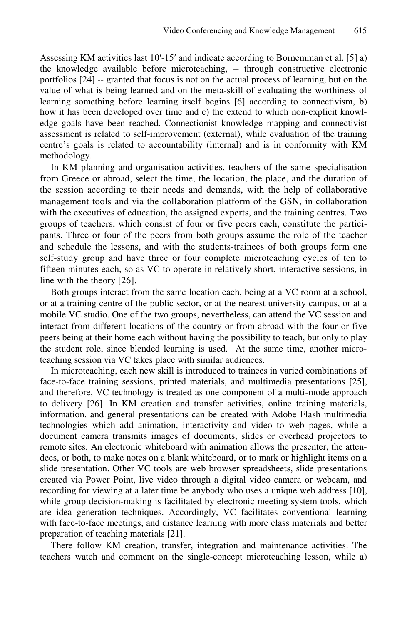Assessing KM activities last 10′-15′ and indicate according to Bornemman et al. [5] a) the knowledge available before microteaching, -- through constructive electronic portfolios [24] -- granted that focus is not on the actual process of learning, but on the value of what is being learned and on the meta-skill of evaluating the worthiness of learning something before learning itself begins [6] according to connectivism, b) how it has been developed over time and c) the extend to which non-explicit knowledge goals have been reached. Connectionist knowledge mapping and connectivist assessment is related to self-improvement (external), while evaluation of the training centre's goals is related to accountability (internal) and is in conformity with KM methodology.

In KM planning and organisation activities, teachers of the same specialisation from Greece or abroad, select the time, the location, the place, and the duration of the session according to their needs and demands, with the help of collaborative management tools and via the collaboration platform of the GSN, in collaboration with the executives of education, the assigned experts, and the training centres. Two groups of teachers, which consist of four or five peers each, constitute the participants. Three or four of the peers from both groups assume the role of the teacher and schedule the lessons, and with the students-trainees of both groups form one self-study group and have three or four complete microteaching cycles of ten to fifteen minutes each, so as VC to operate in relatively short, interactive sessions, in line with the theory [26].

Both groups interact from the same location each, being at a VC room at a school, or at a training centre of the public sector, or at the nearest university campus, or at a mobile VC studio. One of the two groups, nevertheless, can attend the VC session and interact from different locations of the country or from abroad with the four or five peers being at their home each without having the possibility to teach, but only to play the student role, since blended learning is used. At the same time, another microteaching session via VC takes place with similar audiences.

In microteaching, each new skill is introduced to trainees in varied combinations of face-to-face training sessions, printed materials, and multimedia presentations [25], and therefore, VC technology is treated as one component of a multi-mode approach to delivery [26]. In KM creation and transfer activities, online training materials, information, and general presentations can be created with Adobe Flash multimedia technologies which add animation, interactivity and video to web pages, while a document camera transmits images of documents, slides or overhead projectors to remote sites. An electronic whiteboard with animation allows the presenter, the attendees, or both, to make notes on a blank whiteboard, or to mark or highlight items on a slide presentation. Other VC tools are web browser spreadsheets, slide presentations created via Power Point, live video through a digital video camera or webcam, and recording for viewing at a later time be anybody who uses a unique web address [10], while group decision-making is facilitated by electronic meeting system tools, which are idea generation techniques. Accordingly, VC facilitates conventional learning with face-to-face meetings, and distance learning with more class materials and better preparation of teaching materials [21].

There follow KM creation, transfer, integration and maintenance activities. The teachers watch and comment on the single-concept microteaching lesson, while a)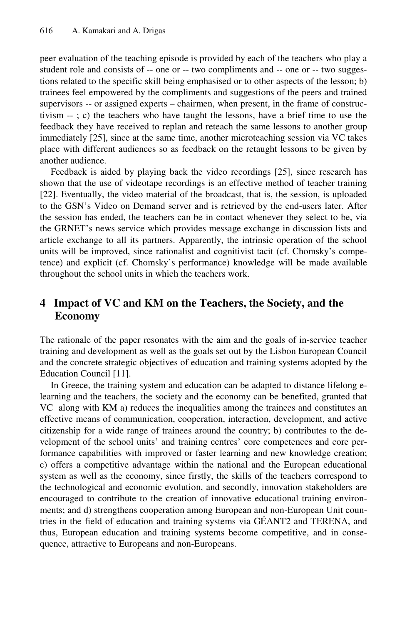peer evaluation of the teaching episode is provided by each of the teachers who play a student role and consists of -- one or -- two compliments and -- one or -- two suggestions related to the specific skill being emphasised or to other aspects of the lesson; b) trainees feel empowered by the compliments and suggestions of the peers and trained supervisors -- or assigned experts – chairmen, when present, in the frame of constructivism -- ; c) the teachers who have taught the lessons, have a brief time to use the feedback they have received to replan and reteach the same lessons to another group immediately [25], since at the same time, another microteaching session via VC takes place with different audiences so as feedback on the retaught lessons to be given by another audience.

Feedback is aided by playing back the video recordings [25], since research has shown that the use of videotape recordings is an effective method of teacher training [22]. Eventually, the video material of the broadcast, that is, the session, is uploaded to the GSN's Video on Demand server and is retrieved by the end-users later. After the session has ended, the teachers can be in contact whenever they select to be, via the GRNET's news service which provides message exchange in discussion lists and article exchange to all its partners. Apparently, the intrinsic operation of the school units will be improved, since rationalist and cognitivist tacit (cf. Chomsky's competence) and explicit (cf. Chomsky's performance) knowledge will be made available throughout the school units in which the teachers work.

### **4 Impact of VC and KM on the Teachers, the Society, and the Economy**

The rationale of the paper resonates with the aim and the goals of in-service teacher training and development as well as the goals set out by the Lisbon European Council and the concrete strategic objectives of education and training systems adopted by the Education Council [11].

In Greece, the training system and education can be adapted to distance lifelong elearning and the teachers, the society and the economy can be benefited, granted that VC along with KM a) reduces the inequalities among the trainees and constitutes an effective means of communication, cooperation, interaction, development, and active citizenship for a wide range of trainees around the country; b) contributes to the development of the school units' and training centres' core competences and core performance capabilities with improved or faster learning and new knowledge creation; c) offers a competitive advantage within the national and the European educational system as well as the economy, since firstly, the skills of the teachers correspond to the technological and economic evolution, and secondly, innovation stakeholders are encouraged to contribute to the creation of innovative educational training environments; and d) strengthens cooperation among European and non-European Unit countries in the field of education and training systems via GÉANT2 and TERENA, and thus, European education and training systems become competitive, and in consequence, attractive to Europeans and non-Europeans.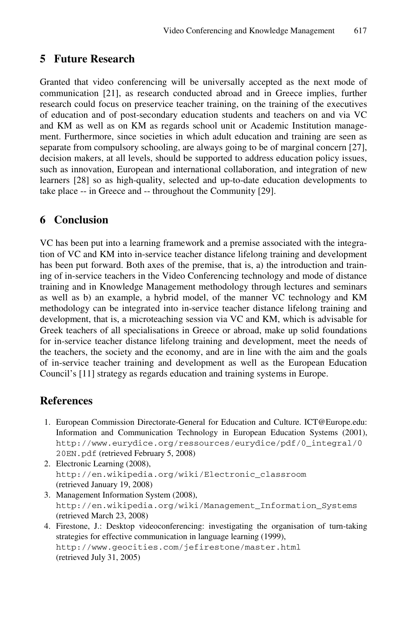# **5 Future Research**

Granted that video conferencing will be universally accepted as the next mode of communication [21], as research conducted abroad and in Greece implies, further research could focus on preservice teacher training, on the training of the executives of education and of post-secondary education students and teachers on and via VC and KM as well as on KM as regards school unit or Academic Institution management. Furthermore, since societies in which adult education and training are seen as separate from compulsory schooling, are always going to be of marginal concern [27], decision makers, at all levels, should be supported to address education policy issues, such as innovation, European and international collaboration, and integration of new learners [28] so as high-quality, selected and up-to-date education developments to take place -- in Greece and -- throughout the Community [29].

# **6 Conclusion**

VC has been put into a learning framework and a premise associated with the integration of VC and KM into in-service teacher distance lifelong training and development has been put forward. Both axes of the premise, that is, a) the introduction and training of in-service teachers in the Video Conferencing technology and mode of distance training and in Knowledge Management methodology through lectures and seminars as well as b) an example, a hybrid model, of the manner VC technology and KM methodology can be integrated into in-service teacher distance lifelong training and development, that is, a microteaching session via VC and KM, which is advisable for Greek teachers of all specialisations in Greece or abroad, make up solid foundations for in-service teacher distance lifelong training and development, meet the needs of the teachers, the society and the economy, and are in line with the aim and the goals of in-service teacher training and development as well as the European Education Council's [11] strategy as regards education and training systems in Europe.

# **References**

- 1. European Commission Directorate-General for Education and Culture. ICT@Europe.edu: Information and Communication Technology in European Education Systems (2001), http://www.eurydice.org/ressources/eurydice/pdf/0\_integral/0 20EN.pdf (retrieved February 5, 2008)
- 2. Electronic Learning (2008), http://en.wikipedia.org/wiki/Electronic\_classroom (retrieved January 19, 2008)
- 3. Management Information System (2008), http://en.wikipedia.org/wiki/Management\_Information\_Systems (retrieved March 23, 2008)
- 4. Firestone, J.: Desktop videoconferencing: investigating the organisation of turn-taking strategies for effective communication in language learning (1999), http://www.geocities.com/jefirestone/master.html (retrieved July 31, 2005)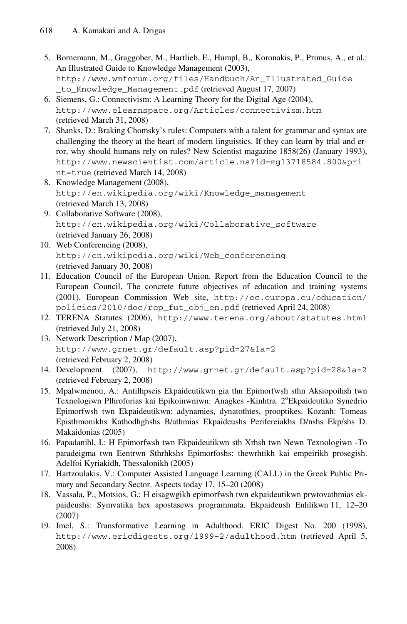- 5. Bornemann, M., Graggober, M., Hartlieb, E., Humpl, B., Koronakis, P., Primus, A., et al.: An Illustrated Guide to Knowledge Management (2003), http://www.wmforum.org/files/Handbuch/An\_Illustrated\_Guide \_to\_Knowledge\_Management.pdf (retrieved August 17, 2007)
- 6. Siemens, G.: Connectivism: A Learning Theory for the Digital Age (2004), http://www.elearnspace.org/Articles/connectivism.htm (retrieved March 31, 2008)
- 7. Shanks, D.: Braking Chomsky's rules: Computers with a talent for grammar and syntax are challenging the theory at the heart of modern linguistics. If they can learn by trial and error, why should humans rely on rules? New Scientist magazine 1858(26) (January 1993), http://www.newscientist.com/article.ns?id=mg13718584.800&pri nt=true (retrieved March 14, 2008)
- 8. Knowledge Management (2008), http://en.wikipedia.org/wiki/Knowledge\_management (retrieved March 13, 2008)
- 9. Collaborative Software (2008), http://en.wikipedia.org/wiki/Collaborative\_software (retrieved January 26, 2008)
- 10. Web Conferencing (2008), http://en.wikipedia.org/wiki/Web\_conferencing (retrieved January 30, 2008)
- 11. Education Council of the European Union. Report from the Education Council to the European Council, The concrete future objectives of education and training systems (2001), European Commission Web site, http://ec.europa.eu/education/ policies/2010/doc/rep\_fut\_obj\_en.pdf (retrieved April 24, 2008)
- 12. TERENA Statutes (2006), http://www.terena.org/about/statutes.html (retrieved July 21, 2008)
- 13. Network Description / Map (2007), http://www.grnet.gr/default.asp?pid=27&1a=2 (retrieved February 2, 2008)
- 14. Development (2007), http://www.grnet.gr/default.asp?pid=28&1a=2 (retrieved February 2, 2008)
- 15. Mpalwmenou, A.: Antilhpseis Ekpaideutikwn gia thn Epimorfwsh sthn Aksiopoihsh twn Texnologiwn Plhroforias kai Epikoinwniwn: Anagkes -Kinhtra. 2°Ekpaideutiko Synedrio Epimorfwsh twn Ekpaideutikwn: adynamies, dynatothtes, prooptikes. Kozanh: Tomeas Episthmonikhs Kathodhghshs B/athmias Ekpaideushs Perifereiakhs D/nshs Ekp/shs D. Makaidonias (2005)
- 16. Papadanihl, I.: H Epimorfwsh twn Ekpaideutikwn sth Xrhsh twn Newn Texnologiwn -To paradeigma twn Eentrwn Sthrhkshs Epimorfoshs: thewrhtikh kai empeirikh prosegish. Adelfoi Kyriakidh, Thessalonikh (2005)
- 17. Hartzoulakis, V.: Computer Assisted Language Learning (CALL) in the Greek Public Primary and Secondary Sector. Aspects today 17, 15–20 (2008)
- 18. Vassala, P., Motsios, G.: H eisagwgikh epimorfwsh twn ekpaideutikwn prwtovathmias ekpaideushs: Symvatika hex apostasews programmata. Ekpaideush Enhlikwn 11, 12–20 (2007)
- 19. Imel, S.: Transformative Learning in Adulthood. ERIC Digest No. 200 (1998), http://www.ericdigests.org/1999-2/adulthood.htm (retrieved April 5, 2008)